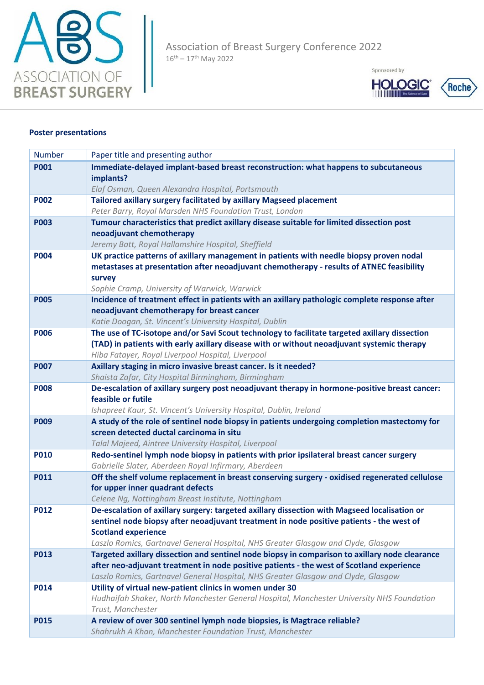

Sponsored by



## **Poster presentations**

| <b>Number</b> | Paper title and presenting author                                                                                                                                                          |
|---------------|--------------------------------------------------------------------------------------------------------------------------------------------------------------------------------------------|
| <b>P001</b>   | Immediate-delayed implant-based breast reconstruction: what happens to subcutaneous                                                                                                        |
|               | implants?                                                                                                                                                                                  |
|               | Elaf Osman, Queen Alexandra Hospital, Portsmouth                                                                                                                                           |
| <b>P002</b>   | Tailored axillary surgery facilitated by axillary Magseed placement                                                                                                                        |
|               | Peter Barry, Royal Marsden NHS Foundation Trust, London                                                                                                                                    |
| <b>P003</b>   | Tumour characteristics that predict axillary disease suitable for limited dissection post                                                                                                  |
|               | neoadjuvant chemotherapy                                                                                                                                                                   |
|               | Jeremy Batt, Royal Hallamshire Hospital, Sheffield                                                                                                                                         |
| <b>P004</b>   | UK practice patterns of axillary management in patients with needle biopsy proven nodal<br>metastases at presentation after neoadjuvant chemotherapy - results of ATNEC feasibility        |
|               | survey                                                                                                                                                                                     |
|               | Sophie Cramp, University of Warwick, Warwick                                                                                                                                               |
| <b>P005</b>   | Incidence of treatment effect in patients with an axillary pathologic complete response after                                                                                              |
|               | neoadjuvant chemotherapy for breast cancer                                                                                                                                                 |
|               | Katie Doogan, St. Vincent's University Hospital, Dublin                                                                                                                                    |
| <b>P006</b>   | The use of TC-isotope and/or Savi Scout technology to facilitate targeted axillary dissection                                                                                              |
|               | (TAD) in patients with early axillary disease with or without neoadjuvant systemic therapy                                                                                                 |
|               | Hiba Fatayer, Royal Liverpool Hospital, Liverpool                                                                                                                                          |
| <b>P007</b>   | Axillary staging in micro invasive breast cancer. Is it needed?                                                                                                                            |
|               | Shaista Zafar, City Hospital Birmingham, Birmingham                                                                                                                                        |
| <b>P008</b>   | De-escalation of axillary surgery post neoadjuvant therapy in hormone-positive breast cancer:                                                                                              |
|               | feasible or futile                                                                                                                                                                         |
| <b>P009</b>   | Ishapreet Kaur, St. Vincent's University Hospital, Dublin, Ireland<br>A study of the role of sentinel node biopsy in patients undergoing completion mastectomy for                         |
|               | screen detected ductal carcinoma in situ                                                                                                                                                   |
|               | Talal Majeed, Aintree University Hospital, Liverpool                                                                                                                                       |
| <b>P010</b>   | Redo-sentinel lymph node biopsy in patients with prior ipsilateral breast cancer surgery                                                                                                   |
|               | Gabrielle Slater, Aberdeen Royal Infirmary, Aberdeen                                                                                                                                       |
| <b>P011</b>   | Off the shelf volume replacement in breast conserving surgery - oxidised regenerated cellulose                                                                                             |
|               | for upper inner quadrant defects                                                                                                                                                           |
|               | Celene Ng, Nottingham Breast Institute, Nottingham                                                                                                                                         |
| <b>P012</b>   | De-escalation of axillary surgery: targeted axillary dissection with Magseed localisation or                                                                                               |
|               | sentinel node biopsy after neoadjuvant treatment in node positive patients - the west of                                                                                                   |
|               | <b>Scotland experience</b>                                                                                                                                                                 |
|               | Laszlo Romics, Gartnavel General Hospital, NHS Greater Glasgow and Clyde, Glasgow                                                                                                          |
| <b>P013</b>   | Targeted axillary dissection and sentinel node biopsy in comparison to axillary node clearance<br>after neo-adjuvant treatment in node positive patients - the west of Scotland experience |
|               | Laszlo Romics, Gartnavel General Hospital, NHS Greater Glasgow and Clyde, Glasgow                                                                                                          |
| <b>P014</b>   | Utility of virtual new-patient clinics in women under 30                                                                                                                                   |
|               | Hudhaifah Shaker, North Manchester General Hospital, Manchester University NHS Foundation                                                                                                  |
|               | Trust, Manchester                                                                                                                                                                          |
| <b>P015</b>   | A review of over 300 sentinel lymph node biopsies, is Magtrace reliable?                                                                                                                   |
|               | Shahrukh A Khan, Manchester Foundation Trust, Manchester                                                                                                                                   |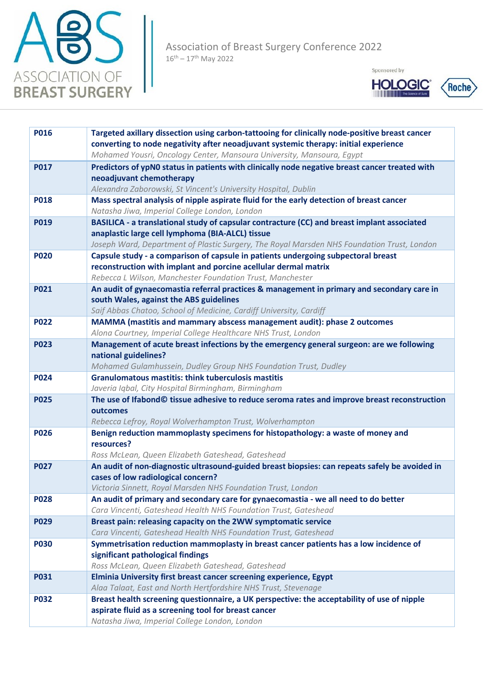



| <b>P016</b> | Targeted axillary dissection using carbon-tattooing for clinically node-positive breast cancer<br>converting to node negativity after neoadjuvant systemic therapy: initial experience<br>Mohamed Yousri, Oncology Center, Mansoura University, Mansoura, Egypt |
|-------------|-----------------------------------------------------------------------------------------------------------------------------------------------------------------------------------------------------------------------------------------------------------------|
| <b>P017</b> | Predictors of ypN0 status in patients with clinically node negative breast cancer treated with                                                                                                                                                                  |
|             | neoadjuvant chemotherapy                                                                                                                                                                                                                                        |
|             | Alexandra Zaborowski, St Vincent's University Hospital, Dublin                                                                                                                                                                                                  |
| <b>P018</b> | Mass spectral analysis of nipple aspirate fluid for the early detection of breast cancer                                                                                                                                                                        |
|             | Natasha Jiwa, Imperial College London, London                                                                                                                                                                                                                   |
| <b>P019</b> | BASILICA - a translational study of capsular contracture (CC) and breast implant associated                                                                                                                                                                     |
|             | anaplastic large cell lymphoma (BIA-ALCL) tissue                                                                                                                                                                                                                |
|             | Joseph Ward, Department of Plastic Surgery, The Royal Marsden NHS Foundation Trust, London                                                                                                                                                                      |
| <b>P020</b> | Capsule study - a comparison of capsule in patients undergoing subpectoral breast                                                                                                                                                                               |
|             | reconstruction with implant and porcine acellular dermal matrix                                                                                                                                                                                                 |
| <b>P021</b> | Rebecca L Wilson, Manchester Foundation Trust, Manchester<br>An audit of gynaecomastia referral practices & management in primary and secondary care in                                                                                                         |
|             | south Wales, against the ABS guidelines                                                                                                                                                                                                                         |
|             | Saif Abbas Chatoo, School of Medicine, Cardiff University, Cardiff                                                                                                                                                                                              |
| <b>P022</b> | MAMMA (mastitis and mammary abscess management audit): phase 2 outcomes                                                                                                                                                                                         |
|             | Alona Courtney, Imperial College Healthcare NHS Trust, London                                                                                                                                                                                                   |
| <b>P023</b> | Management of acute breast infections by the emergency general surgeon: are we following                                                                                                                                                                        |
|             | national guidelines?                                                                                                                                                                                                                                            |
|             | Mohamed Gulamhussein, Dudley Group NHS Foundation Trust, Dudley                                                                                                                                                                                                 |
| <b>P024</b> | <b>Granulomatous mastitis: think tuberculosis mastitis</b>                                                                                                                                                                                                      |
|             | Javeria Iqbal, City Hospital Birmingham, Birmingham                                                                                                                                                                                                             |
| <b>P025</b> | The use of Ifabond© tissue adhesive to reduce seroma rates and improve breast reconstruction                                                                                                                                                                    |
|             | outcomes                                                                                                                                                                                                                                                        |
|             | Rebecca Lefroy, Royal Wolverhampton Trust, Wolverhampton                                                                                                                                                                                                        |
| <b>P026</b> | Benign reduction mammoplasty specimens for histopathology: a waste of money and<br>resources?                                                                                                                                                                   |
|             | Ross McLean, Queen Elizabeth Gateshead, Gateshead                                                                                                                                                                                                               |
| <b>P027</b> | An audit of non-diagnostic ultrasound-guided breast biopsies: can repeats safely be avoided in                                                                                                                                                                  |
|             | cases of low radiological concern?                                                                                                                                                                                                                              |
|             | Victoria Sinnett, Royal Marsden NHS Foundation Trust, London                                                                                                                                                                                                    |
| <b>P028</b> | An audit of primary and secondary care for gynaecomastia - we all need to do better                                                                                                                                                                             |
|             | Cara Vincenti, Gateshead Health NHS Foundation Trust, Gateshead                                                                                                                                                                                                 |
| <b>P029</b> | Breast pain: releasing capacity on the 2WW symptomatic service                                                                                                                                                                                                  |
|             | Cara Vincenti, Gateshead Health NHS Foundation Trust, Gateshead                                                                                                                                                                                                 |
| <b>P030</b> | Symmetrisation reduction mammoplasty in breast cancer patients has a low incidence of                                                                                                                                                                           |
|             | significant pathological findings                                                                                                                                                                                                                               |
|             | Ross McLean, Queen Elizabeth Gateshead, Gateshead                                                                                                                                                                                                               |
| <b>P031</b> | Elminia University first breast cancer screening experience, Egypt                                                                                                                                                                                              |
|             | Alaa Talaat, East and North Hertfordshire NHS Trust, Stevenage                                                                                                                                                                                                  |
| <b>P032</b> | Breast health screening questionnaire, a UK perspective: the acceptability of use of nipple                                                                                                                                                                     |
|             | aspirate fluid as a screening tool for breast cancer                                                                                                                                                                                                            |
|             | Natasha Jiwa, Imperial College London, London                                                                                                                                                                                                                   |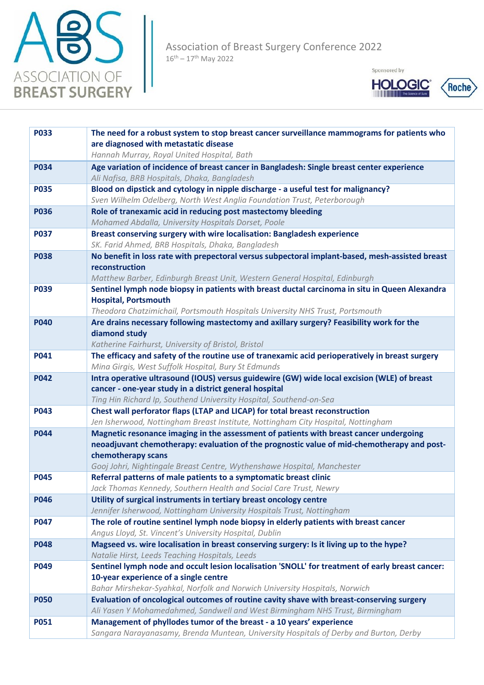



| <b>P033</b> | The need for a robust system to stop breast cancer surveillance mammograms for patients who                                                                   |
|-------------|---------------------------------------------------------------------------------------------------------------------------------------------------------------|
|             | are diagnosed with metastatic disease                                                                                                                         |
|             | Hannah Murray, Royal United Hospital, Bath                                                                                                                    |
| <b>P034</b> | Age variation of incidence of breast cancer in Bangladesh: Single breast center experience                                                                    |
|             | Ali Nafisa, BRB Hospitals, Dhaka, Bangladesh                                                                                                                  |
| <b>P035</b> | Blood on dipstick and cytology in nipple discharge - a useful test for malignancy?<br>Sven Wilhelm Odelberg, North West Anglia Foundation Trust, Peterborough |
| <b>P036</b> | Role of tranexamic acid in reducing post mastectomy bleeding                                                                                                  |
|             | Mohamed Abdalla, University Hospitals Dorset, Poole                                                                                                           |
| <b>P037</b> | Breast conserving surgery with wire localisation: Bangladesh experience                                                                                       |
|             | SK. Farid Ahmed, BRB Hospitals, Dhaka, Bangladesh                                                                                                             |
| <b>P038</b> | No benefit in loss rate with prepectoral versus subpectoral implant-based, mesh-assisted breast                                                               |
|             | reconstruction                                                                                                                                                |
|             | Matthew Barber, Edinburgh Breast Unit, Western General Hospital, Edinburgh                                                                                    |
| <b>P039</b> | Sentinel lymph node biopsy in patients with breast ductal carcinoma in situ in Queen Alexandra                                                                |
|             | <b>Hospital, Portsmouth</b>                                                                                                                                   |
|             | Theodora Chatzimichail, Portsmouth Hospitals University NHS Trust, Portsmouth                                                                                 |
| <b>P040</b> | Are drains necessary following mastectomy and axillary surgery? Feasibility work for the                                                                      |
|             | diamond study                                                                                                                                                 |
|             | Katherine Fairhurst, University of Bristol, Bristol                                                                                                           |
| P041        | The efficacy and safety of the routine use of tranexamic acid perioperatively in breast surgery                                                               |
| <b>P042</b> | Mina Girgis, West Suffolk Hospital, Bury St Edmunds<br>Intra operative ultrasound (IOUS) versus guidewire (GW) wide local excision (WLE) of breast            |
|             | cancer - one-year study in a district general hospital                                                                                                        |
|             | Ting Hin Richard Ip, Southend University Hospital, Southend-on-Sea                                                                                            |
| <b>P043</b> | Chest wall perforator flaps (LTAP and LICAP) for total breast reconstruction                                                                                  |
|             | Jen Isherwood, Nottingham Breast Institute, Nottingham City Hospital, Nottingham                                                                              |
| <b>P044</b> | Magnetic resonance imaging in the assessment of patients with breast cancer undergoing                                                                        |
|             | neoadjuvant chemotherapy: evaluation of the prognostic value of mid-chemotherapy and post-                                                                    |
|             | chemotherapy scans                                                                                                                                            |
|             | Gooj Johri, Nightingale Breast Centre, Wythenshawe Hospital, Manchester                                                                                       |
| <b>P045</b> | Referral patterns of male patients to a symptomatic breast clinic                                                                                             |
|             | Jack Thomas Kennedy, Southern Health and Social Care Trust, Newry                                                                                             |
| <b>P046</b> | Utility of surgical instruments in tertiary breast oncology centre                                                                                            |
|             | Jennifer Isherwood, Nottingham University Hospitals Trust, Nottingham                                                                                         |
| <b>P047</b> | The role of routine sentinel lymph node biopsy in elderly patients with breast cancer<br>Angus Lloyd, St. Vincent's University Hospital, Dublin               |
| <b>P048</b> | Magseed vs. wire localisation in breast conserving surgery: Is it living up to the hype?                                                                      |
|             | Natalie Hirst, Leeds Teaching Hospitals, Leeds                                                                                                                |
| P049        | Sentinel lymph node and occult lesion localisation 'SNOLL' for treatment of early breast cancer:                                                              |
|             | 10-year experience of a single centre                                                                                                                         |
|             | Bahar Mirshekar-Syahkal, Norfolk and Norwich University Hospitals, Norwich                                                                                    |
| <b>P050</b> | Evaluation of oncological outcomes of routine cavity shave with breast-conserving surgery                                                                     |
|             | Ali Yasen Y Mohamedahmed, Sandwell and West Birmingham NHS Trust, Birmingham                                                                                  |
| <b>P051</b> | Management of phyllodes tumor of the breast - a 10 years' experience                                                                                          |
|             | Sangara Narayanasamy, Brenda Muntean, University Hospitals of Derby and Burton, Derby                                                                         |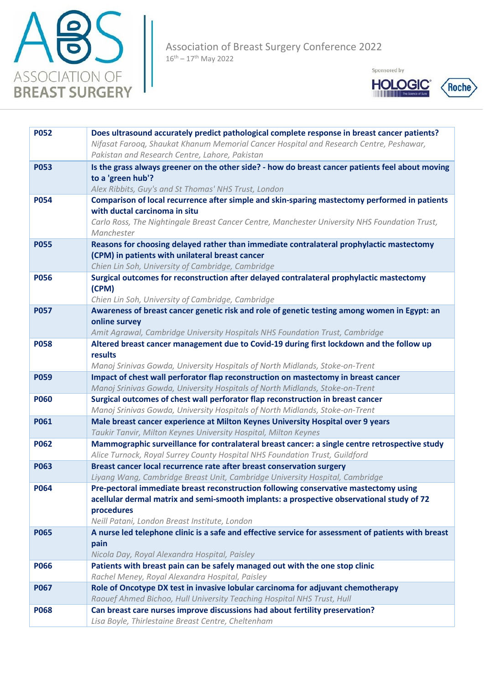





| <b>P052</b> | Does ultrasound accurately predict pathological complete response in breast cancer patients?                                                                      |
|-------------|-------------------------------------------------------------------------------------------------------------------------------------------------------------------|
|             |                                                                                                                                                                   |
|             | Nifasat Farooq, Shaukat Khanum Memorial Cancer Hospital and Research Centre, Peshawar,                                                                            |
|             | Pakistan and Research Centre, Lahore, Pakistan                                                                                                                    |
| <b>P053</b> | Is the grass always greener on the other side? - how do breast cancer patients feel about moving                                                                  |
|             | to a 'green hub'?                                                                                                                                                 |
|             | Alex Ribbits, Guy's and St Thomas' NHS Trust, London                                                                                                              |
| <b>P054</b> | Comparison of local recurrence after simple and skin-sparing mastectomy performed in patients                                                                     |
|             | with ductal carcinoma in situ                                                                                                                                     |
|             | Carlo Ross, The Nightingale Breast Cancer Centre, Manchester University NHS Foundation Trust,                                                                     |
|             | Manchester                                                                                                                                                        |
| <b>P055</b> | Reasons for choosing delayed rather than immediate contralateral prophylactic mastectomy                                                                          |
|             | (CPM) in patients with unilateral breast cancer                                                                                                                   |
|             | Chien Lin Soh, University of Cambridge, Cambridge                                                                                                                 |
| <b>P056</b> | Surgical outcomes for reconstruction after delayed contralateral prophylactic mastectomy                                                                          |
|             | (CPM)                                                                                                                                                             |
|             | Chien Lin Soh, University of Cambridge, Cambridge                                                                                                                 |
| <b>P057</b> | Awareness of breast cancer genetic risk and role of genetic testing among women in Egypt: an                                                                      |
|             | online survey                                                                                                                                                     |
|             | Amit Agrawal, Cambridge University Hospitals NHS Foundation Trust, Cambridge                                                                                      |
| <b>P058</b> | Altered breast cancer management due to Covid-19 during first lockdown and the follow up                                                                          |
|             | results                                                                                                                                                           |
|             | Manoj Srinivas Gowda, University Hospitals of North Midlands, Stoke-on-Trent                                                                                      |
| <b>P059</b> | Impact of chest wall perforator flap reconstruction on mastectomy in breast cancer                                                                                |
|             | Manoj Srinivas Gowda, University Hospitals of North Midlands, Stoke-on-Trent                                                                                      |
| <b>P060</b> | Surgical outcomes of chest wall perforator flap reconstruction in breast cancer                                                                                   |
|             | Manoj Srinivas Gowda, University Hospitals of North Midlands, Stoke-on-Trent                                                                                      |
| <b>P061</b> | Male breast cancer experience at Milton Keynes University Hospital over 9 years                                                                                   |
| <b>P062</b> | Taukir Tanvir, Milton Keynes University Hospital, Milton Keynes<br>Mammographic surveillance for contralateral breast cancer: a single centre retrospective study |
|             | Alice Turnock, Royal Surrey County Hospital NHS Foundation Trust, Guildford                                                                                       |
| <b>P063</b> | Breast cancer local recurrence rate after breast conservation surgery                                                                                             |
|             | Liyang Wang, Cambridge Breast Unit, Cambridge University Hospital, Cambridge                                                                                      |
| <b>P064</b> | Pre-pectoral immediate breast reconstruction following conservative mastectomy using                                                                              |
|             | acellular dermal matrix and semi-smooth implants: a prospective observational study of 72                                                                         |
|             | procedures                                                                                                                                                        |
|             | Neill Patani, London Breast Institute, London                                                                                                                     |
| <b>P065</b> | A nurse led telephone clinic is a safe and effective service for assessment of patients with breast                                                               |
|             | pain                                                                                                                                                              |
|             | Nicola Day, Royal Alexandra Hospital, Paisley                                                                                                                     |
| <b>P066</b> | Patients with breast pain can be safely managed out with the one stop clinic                                                                                      |
|             | Rachel Meney, Royal Alexandra Hospital, Paisley                                                                                                                   |
| <b>P067</b> | Role of Oncotype DX test in invasive lobular carcinoma for adjuvant chemotherapy                                                                                  |
|             | Raouef Ahmed Bichoo, Hull University Teaching Hospital NHS Trust, Hull                                                                                            |
| <b>P068</b> | Can breast care nurses improve discussions had about fertility preservation?                                                                                      |
|             | Lisa Boyle, Thirlestaine Breast Centre, Cheltenham                                                                                                                |
|             |                                                                                                                                                                   |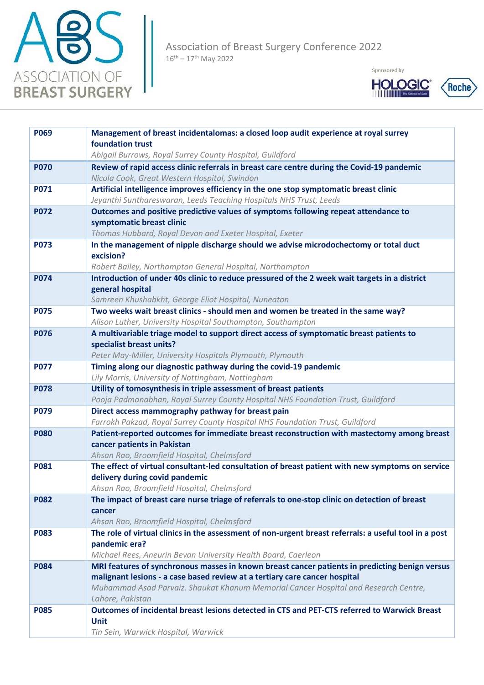



| <b>P069</b> | Management of breast incidentalomas: a closed loop audit experience at royal surrey<br>foundation trust                                                   |
|-------------|-----------------------------------------------------------------------------------------------------------------------------------------------------------|
|             | Abigail Burrows, Royal Surrey County Hospital, Guildford                                                                                                  |
| <b>P070</b> | Review of rapid access clinic referrals in breast care centre during the Covid-19 pandemic                                                                |
|             | Nicola Cook, Great Western Hospital, Swindon                                                                                                              |
| <b>P071</b> | Artificial intelligence improves efficiency in the one stop symptomatic breast clinic                                                                     |
|             | Jeyanthi Sunthareswaran, Leeds Teaching Hospitals NHS Trust, Leeds                                                                                        |
| <b>P072</b> | Outcomes and positive predictive values of symptoms following repeat attendance to                                                                        |
|             | symptomatic breast clinic                                                                                                                                 |
|             | Thomas Hubbard, Royal Devon and Exeter Hospital, Exeter                                                                                                   |
| <b>P073</b> | In the management of nipple discharge should we advise microdochectomy or total duct                                                                      |
|             | excision?                                                                                                                                                 |
| <b>P074</b> | Robert Bailey, Northampton General Hospital, Northampton<br>Introduction of under 40s clinic to reduce pressured of the 2 week wait targets in a district |
|             | general hospital                                                                                                                                          |
|             | Samreen Khushabkht, George Eliot Hospital, Nuneaton                                                                                                       |
| <b>P075</b> | Two weeks wait breast clinics - should men and women be treated in the same way?                                                                          |
|             | Alison Luther, University Hospital Southampton, Southampton                                                                                               |
| <b>P076</b> | A multivariable triage model to support direct access of symptomatic breast patients to                                                                   |
|             | specialist breast units?                                                                                                                                  |
|             | Peter May-Miller, University Hospitals Plymouth, Plymouth                                                                                                 |
| <b>P077</b> | Timing along our diagnostic pathway during the covid-19 pandemic                                                                                          |
|             | Lily Morris, University of Nottingham, Nottingham                                                                                                         |
| <b>P078</b> | Utility of tomosynthesis in triple assessment of breast patients<br>Pooja Padmanabhan, Royal Surrey County Hospital NHS Foundation Trust, Guildford       |
| <b>P079</b> | Direct access mammography pathway for breast pain                                                                                                         |
|             | Farrokh Pakzad, Royal Surrey County Hospital NHS Foundation Trust, Guildford                                                                              |
| <b>P080</b> | Patient-reported outcomes for immediate breast reconstruction with mastectomy among breast                                                                |
|             | cancer patients in Pakistan                                                                                                                               |
|             | Ahsan Rao, Broomfield Hospital, Chelmsford                                                                                                                |
| <b>P081</b> | The effect of virtual consultant-led consultation of breast patient with new symptoms on service                                                          |
|             | delivery during covid pandemic                                                                                                                            |
| <b>P082</b> | Ahsan Rao, Broomfield Hospital, Chelmsford<br>The impact of breast care nurse triage of referrals to one-stop clinic on detection of breast               |
|             | cancer                                                                                                                                                    |
|             | Ahsan Rao, Broomfield Hospital, Chelmsford                                                                                                                |
| <b>P083</b> | The role of virtual clinics in the assessment of non-urgent breast referrals: a useful tool in a post                                                     |
|             | pandemic era?                                                                                                                                             |
|             | Michael Rees, Aneurin Bevan University Health Board, Caerleon                                                                                             |
| <b>P084</b> | MRI features of synchronous masses in known breast cancer patients in predicting benign versus                                                            |
|             | malignant lesions - a case based review at a tertiary care cancer hospital                                                                                |
|             | Muhammad Asad Parvaiz. Shaukat Khanum Memorial Cancer Hospital and Research Centre,                                                                       |
| <b>P085</b> | Lahore, Pakistan<br>Outcomes of incidental breast lesions detected in CTS and PET-CTS referred to Warwick Breast                                          |
|             | <b>Unit</b>                                                                                                                                               |
|             | Tin Sein, Warwick Hospital, Warwick                                                                                                                       |
|             |                                                                                                                                                           |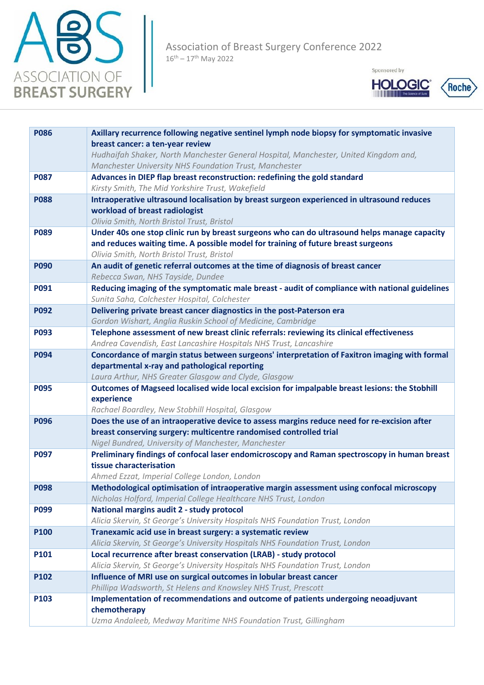



| <b>P086</b> | Axillary recurrence following negative sentinel lymph node biopsy for symptomatic invasive                                                            |
|-------------|-------------------------------------------------------------------------------------------------------------------------------------------------------|
|             | breast cancer: a ten-year review                                                                                                                      |
|             | Hudhaifah Shaker, North Manchester General Hospital, Manchester, United Kingdom and,                                                                  |
|             | Manchester University NHS Foundation Trust, Manchester                                                                                                |
| <b>P087</b> | Advances in DIEP flap breast reconstruction: redefining the gold standard                                                                             |
|             | Kirsty Smith, The Mid Yorkshire Trust, Wakefield                                                                                                      |
| <b>P088</b> | Intraoperative ultrasound localisation by breast surgeon experienced in ultrasound reduces                                                            |
|             | workload of breast radiologist                                                                                                                        |
|             | Olivia Smith, North Bristol Trust, Bristol                                                                                                            |
| <b>P089</b> | Under 40s one stop clinic run by breast surgeons who can do ultrasound helps manage capacity                                                          |
|             | and reduces waiting time. A possible model for training of future breast surgeons                                                                     |
|             | Olivia Smith, North Bristol Trust, Bristol                                                                                                            |
| <b>P090</b> | An audit of genetic referral outcomes at the time of diagnosis of breast cancer                                                                       |
|             | Rebecca Swan, NHS Tayside, Dundee                                                                                                                     |
| P091        | Reducing imaging of the symptomatic male breast - audit of compliance with national guidelines                                                        |
|             | Sunita Saha, Colchester Hospital, Colchester                                                                                                          |
| <b>P092</b> | Delivering private breast cancer diagnostics in the post-Paterson era                                                                                 |
|             | Gordon Wishart, Anglia Ruskin School of Medicine, Cambridge                                                                                           |
| <b>P093</b> | Telephone assessment of new breast clinic referrals: reviewing its clinical effectiveness                                                             |
|             | Andrea Cavendish, East Lancashire Hospitals NHS Trust, Lancashire                                                                                     |
| <b>P094</b> | Concordance of margin status between surgeons' interpretation of Faxitron imaging with formal                                                         |
|             | departmental x-ray and pathological reporting                                                                                                         |
| <b>P095</b> | Laura Arthur, NHS Greater Glasgow and Clyde, Glasgow<br>Outcomes of Magseed localised wide local excision for impalpable breast lesions: the Stobhill |
|             | experience                                                                                                                                            |
|             | Rachael Boardley, New Stobhill Hospital, Glasgow                                                                                                      |
| <b>P096</b> | Does the use of an intraoperative device to assess margins reduce need for re-excision after                                                          |
|             | breast conserving surgery: multicentre randomised controlled trial                                                                                    |
|             | Nigel Bundred, University of Manchester, Manchester                                                                                                   |
| P097        | Preliminary findings of confocal laser endomicroscopy and Raman spectroscopy in human breast                                                          |
|             | tissue characterisation                                                                                                                               |
|             | Ahmed Ezzat, Imperial College London, London                                                                                                          |
| <b>P098</b> | Methodological optimisation of intraoperative margin assessment using confocal microscopy                                                             |
|             | Nicholas Holford, Imperial College Healthcare NHS Trust, London                                                                                       |
| P099        | National margins audit 2 - study protocol                                                                                                             |
|             | Alicia Skervin, St George's University Hospitals NHS Foundation Trust, London                                                                         |
| P100        | Tranexamic acid use in breast surgery: a systematic review                                                                                            |
|             | Alicia Skervin, St George's University Hospitals NHS Foundation Trust, London                                                                         |
| P101        | Local recurrence after breast conservation (LRAB) - study protocol                                                                                    |
|             | Alicia Skervin, St George's University Hospitals NHS Foundation Trust, London                                                                         |
| P102        | Influence of MRI use on surgical outcomes in lobular breast cancer                                                                                    |
|             | Phillipa Wadsworth, St Helens and Knowsley NHS Trust, Prescott                                                                                        |
| P103        | Implementation of recommendations and outcome of patients undergoing neoadjuvant                                                                      |
|             | chemotherapy                                                                                                                                          |
|             | Uzma Andaleeb, Medway Maritime NHS Foundation Trust, Gillingham                                                                                       |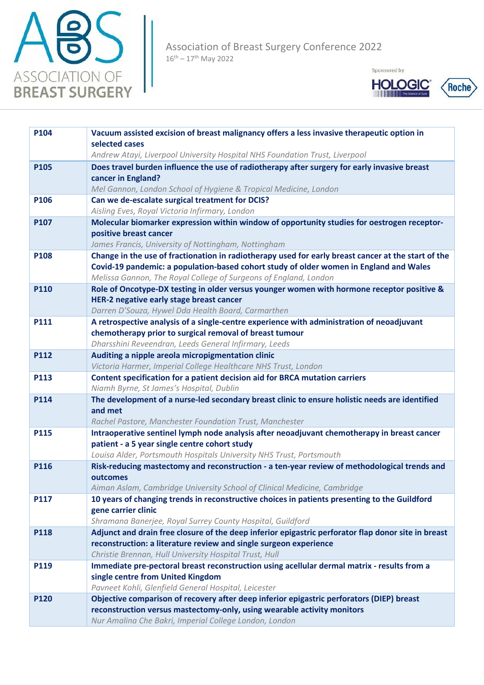



| P104        | Vacuum assisted excision of breast malignancy offers a less invasive therapeutic option in                                        |
|-------------|-----------------------------------------------------------------------------------------------------------------------------------|
|             | selected cases<br>Andrew Atayi, Liverpool University Hospital NHS Foundation Trust, Liverpool                                     |
| <b>P105</b> | Does travel burden influence the use of radiotherapy after surgery for early invasive breast                                      |
|             | cancer in England?                                                                                                                |
|             | Mel Gannon, London School of Hygiene & Tropical Medicine, London                                                                  |
| P106        | Can we de-escalate surgical treatment for DCIS?                                                                                   |
|             | Aisling Eves, Royal Victoria Infirmary, London                                                                                    |
| P107        | Molecular biomarker expression within window of opportunity studies for oestrogen receptor-                                       |
|             | positive breast cancer                                                                                                            |
|             | James Francis, University of Nottingham, Nottingham                                                                               |
| P108        | Change in the use of fractionation in radiotherapy used for early breast cancer at the start of the                               |
|             | Covid-19 pandemic: a population-based cohort study of older women in England and Wales                                            |
|             | Melissa Gannon, The Royal College of Surgeons of England, London                                                                  |
| <b>P110</b> | Role of Oncotype-DX testing in older versus younger women with hormone receptor positive &                                        |
|             | HER-2 negative early stage breast cancer                                                                                          |
|             | Darren D'Souza, Hywel Dda Health Board, Carmarthen                                                                                |
| P111        | A retrospective analysis of a single-centre experience with administration of neoadjuvant                                         |
|             | chemotherapy prior to surgical removal of breast tumour                                                                           |
|             | Dharsshini Reveendran, Leeds General Infirmary, Leeds                                                                             |
| P112        | Auditing a nipple areola micropigmentation clinic                                                                                 |
|             | Victoria Harmer, Imperial College Healthcare NHS Trust, London                                                                    |
| P113        | Content specification for a patient decision aid for BRCA mutation carriers                                                       |
|             | Niamh Byrne, St James's Hospital, Dublin                                                                                          |
|             |                                                                                                                                   |
| P114        | The development of a nurse-led secondary breast clinic to ensure holistic needs are identified                                    |
|             | and met                                                                                                                           |
|             | Rachel Pastore, Manchester Foundation Trust, Manchester                                                                           |
| <b>P115</b> | Intraoperative sentinel lymph node analysis after neoadjuvant chemotherapy in breast cancer                                       |
|             | patient - a 5 year single centre cohort study<br>Louisa Alder, Portsmouth Hospitals University NHS Trust, Portsmouth              |
| P116        | Risk-reducing mastectomy and reconstruction - a ten-year review of methodological trends and                                      |
|             | outcomes                                                                                                                          |
|             | Aiman Aslam, Cambridge University School of Clinical Medicine, Cambridge                                                          |
| P117        | 10 years of changing trends in reconstructive choices in patients presenting to the Guildford                                     |
|             | gene carrier clinic                                                                                                               |
|             | Shramana Banerjee, Royal Surrey County Hospital, Guildford                                                                        |
| P118        | Adjunct and drain free closure of the deep inferior epigastric perforator flap donor site in breast                               |
|             | reconstruction: a literature review and single surgeon experience                                                                 |
|             | Christie Brennan, Hull University Hospital Trust, Hull                                                                            |
| P119        | Immediate pre-pectoral breast reconstruction using acellular dermal matrix - results from a                                       |
|             | single centre from United Kingdom                                                                                                 |
|             | Pavneet Kohli, Glenfield General Hospital, Leicester                                                                              |
| <b>P120</b> | Objective comparison of recovery after deep inferior epigastric perforators (DIEP) breast                                         |
|             | reconstruction versus mastectomy-only, using wearable activity monitors<br>Nur Amalina Che Bakri, Imperial College London, London |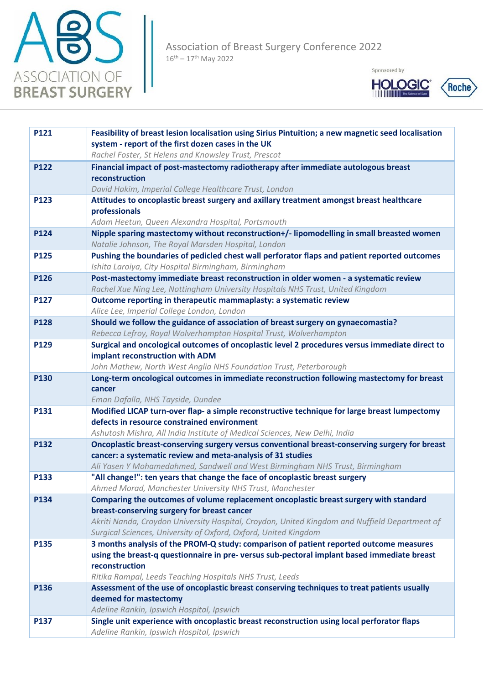



| P121        | Feasibility of breast lesion localisation using Sirius Pintuition; a new magnetic seed localisation                                         |
|-------------|---------------------------------------------------------------------------------------------------------------------------------------------|
|             | system - report of the first dozen cases in the UK                                                                                          |
|             | Rachel Foster, St Helens and Knowsley Trust, Prescot                                                                                        |
| P122        | Financial impact of post-mastectomy radiotherapy after immediate autologous breast<br>reconstruction                                        |
|             | David Hakim, Imperial College Healthcare Trust, London                                                                                      |
| P123        | Attitudes to oncoplastic breast surgery and axillary treatment amongst breast healthcare                                                    |
|             | professionals                                                                                                                               |
|             | Adam Heetun, Queen Alexandra Hospital, Portsmouth                                                                                           |
| P124        | Nipple sparing mastectomy without reconstruction+/- lipomodelling in small breasted women                                                   |
|             | Natalie Johnson, The Royal Marsden Hospital, London                                                                                         |
| P125        | Pushing the boundaries of pedicled chest wall perforator flaps and patient reported outcomes                                                |
|             | Ishita Laroiya, City Hospital Birmingham, Birmingham                                                                                        |
| P126        | Post-mastectomy immediate breast reconstruction in older women - a systematic review                                                        |
|             | Rachel Xue Ning Lee, Nottingham University Hospitals NHS Trust, United Kingdom                                                              |
| P127        | Outcome reporting in therapeutic mammaplasty: a systematic review                                                                           |
|             | Alice Lee, Imperial College London, London                                                                                                  |
| <b>P128</b> | Should we follow the guidance of association of breast surgery on gynaecomastia?                                                            |
|             | Rebecca Lefroy, Royal Wolverhampton Hospital Trust, Wolverhampton                                                                           |
| P129        | Surgical and oncological outcomes of oncoplastic level 2 procedures versus immediate direct to                                              |
|             | implant reconstruction with ADM                                                                                                             |
|             | John Mathew, North West Anglia NHS Foundation Trust, Peterborough                                                                           |
| P130        | Long-term oncological outcomes in immediate reconstruction following mastectomy for breast                                                  |
|             | cancer                                                                                                                                      |
|             | Eman Dafalla, NHS Tayside, Dundee                                                                                                           |
| P131        | Modified LICAP turn-over flap- a simple reconstructive technique for large breast lumpectomy<br>defects in resource constrained environment |
|             | Ashutosh Mishra, All India Institute of Medical Sciences, New Delhi, India                                                                  |
| P132        | Oncoplastic breast-conserving surgery versus conventional breast-conserving surgery for breast                                              |
|             | cancer: a systematic review and meta-analysis of 31 studies                                                                                 |
|             | Ali Yasen Y Mohamedahmed, Sandwell and West Birmingham NHS Trust, Birmingham                                                                |
| P133        | "All change!": ten years that change the face of oncoplastic breast surgery                                                                 |
|             | Ahmed Morad, Manchester University NHS Trust, Manchester                                                                                    |
| P134        | Comparing the outcomes of volume replacement oncoplastic breast surgery with standard                                                       |
|             | breast-conserving surgery for breast cancer                                                                                                 |
|             | Akriti Nanda, Croydon University Hospital, Croydon, United Kingdom and Nuffield Department of                                               |
|             | Surgical Sciences, University of Oxford, Oxford, United Kingdom                                                                             |
| P135        | 3 months analysis of the PROM-Q study: comparison of patient reported outcome measures                                                      |
|             | using the breast-q questionnaire in pre-versus sub-pectoral implant based immediate breast                                                  |
|             | reconstruction                                                                                                                              |
|             | Ritika Rampal, Leeds Teaching Hospitals NHS Trust, Leeds                                                                                    |
| P136        | Assessment of the use of oncoplastic breast conserving techniques to treat patients usually                                                 |
|             | deemed for mastectomy<br>Adeline Rankin, Ipswich Hospital, Ipswich                                                                          |
| P137        | Single unit experience with oncoplastic breast reconstruction using local perforator flaps                                                  |
|             | Adeline Rankin, Ipswich Hospital, Ipswich                                                                                                   |
|             |                                                                                                                                             |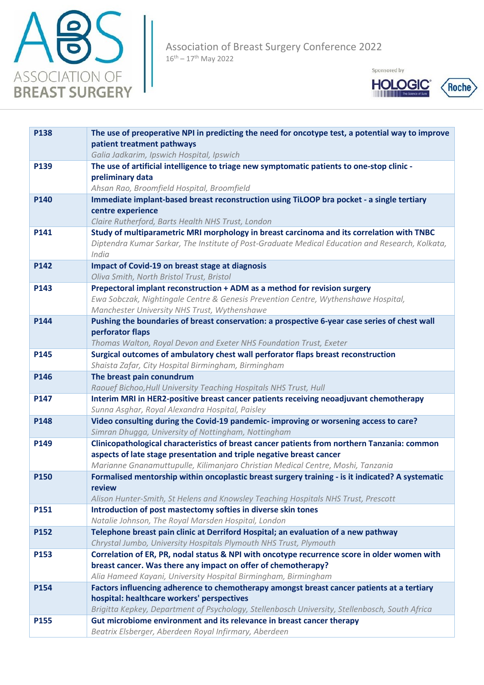



| P138 | The use of preoperative NPI in predicting the need for oncotype test, a potential way to improve<br>patient treatment pathways                                                      |
|------|-------------------------------------------------------------------------------------------------------------------------------------------------------------------------------------|
|      | Galia Jadkarim, Ipswich Hospital, Ipswich                                                                                                                                           |
| P139 | The use of artificial intelligence to triage new symptomatic patients to one-stop clinic -                                                                                          |
|      | preliminary data                                                                                                                                                                    |
|      | Ahsan Rao, Broomfield Hospital, Broomfield                                                                                                                                          |
| P140 | Immediate implant-based breast reconstruction using TiLOOP bra pocket - a single tertiary<br>centre experience                                                                      |
|      | Claire Rutherford, Barts Health NHS Trust, London                                                                                                                                   |
| P141 | Study of multiparametric MRI morphology in breast carcinoma and its correlation with TNBC                                                                                           |
|      | Diptendra Kumar Sarkar, The Institute of Post-Graduate Medical Education and Research, Kolkata,<br>India                                                                            |
| P142 | <b>Impact of Covid-19 on breast stage at diagnosis</b>                                                                                                                              |
|      | Oliva Smith, North Bristol Trust, Bristol                                                                                                                                           |
| P143 | Prepectoral implant reconstruction + ADM as a method for revision surgery                                                                                                           |
|      | Ewa Sobczak, Nightingale Centre & Genesis Prevention Centre, Wythenshawe Hospital,                                                                                                  |
|      | Manchester University NHS Trust, Wythenshawe                                                                                                                                        |
| P144 | Pushing the boundaries of breast conservation: a prospective 6-year case series of chest wall                                                                                       |
|      | perforator flaps                                                                                                                                                                    |
| P145 | Thomas Walton, Royal Devon and Exeter NHS Foundation Trust, Exeter                                                                                                                  |
|      | Surgical outcomes of ambulatory chest wall perforator flaps breast reconstruction<br>Shaista Zafar, City Hospital Birmingham, Birmingham                                            |
| P146 | The breast pain conundrum                                                                                                                                                           |
|      | Raouef Bichoo, Hull University Teaching Hospitals NHS Trust, Hull                                                                                                                   |
| P147 | Interim MRI in HER2-positive breast cancer patients receiving neoadjuvant chemotherapy                                                                                              |
|      | Sunna Asghar, Royal Alexandra Hospital, Paisley                                                                                                                                     |
| P148 | Video consulting during the Covid-19 pandemic- improving or worsening access to care?                                                                                               |
|      | Simran Dhugga, University of Nottingham, Nottingham                                                                                                                                 |
| P149 | Clinicopathological characteristics of breast cancer patients from northern Tanzania: common                                                                                        |
|      | aspects of late stage presentation and triple negative breast cancer                                                                                                                |
| P150 | Marianne Gnanamuttupulle, Kilimanjaro Christian Medical Centre, Moshi, Tanzania<br>Formalised mentorship within oncoplastic breast surgery training - is it indicated? A systematic |
|      | <b>review</b>                                                                                                                                                                       |
|      | Alison Hunter-Smith, St Helens and Knowsley Teaching Hospitals NHS Trust, Prescott                                                                                                  |
| P151 | Introduction of post mastectomy softies in diverse skin tones                                                                                                                       |
|      | Natalie Johnson, The Royal Marsden Hospital, London                                                                                                                                 |
| P152 | Telephone breast pain clinic at Derriford Hospital; an evaluation of a new pathway                                                                                                  |
|      | Chrystal Jumbo, University Hospitals Plymouth NHS Trust, Plymouth                                                                                                                   |
| P153 | Correlation of ER, PR, nodal status & NPI with oncotype recurrence score in older women with                                                                                        |
|      | breast cancer. Was there any impact on offer of chemotherapy?                                                                                                                       |
|      | Alia Hameed Kayani, University Hospital Birmingham, Birmingham                                                                                                                      |
| P154 | Factors influencing adherence to chemotherapy amongst breast cancer patients at a tertiary<br>hospital: healthcare workers' perspectives                                            |
|      | Brigitta Kepkey, Department of Psychology, Stellenbosch University, Stellenbosch, South Africa                                                                                      |
| P155 | Gut microbiome environment and its relevance in breast cancer therapy                                                                                                               |
|      | Beatrix Elsberger, Aberdeen Royal Infirmary, Aberdeen                                                                                                                               |
|      |                                                                                                                                                                                     |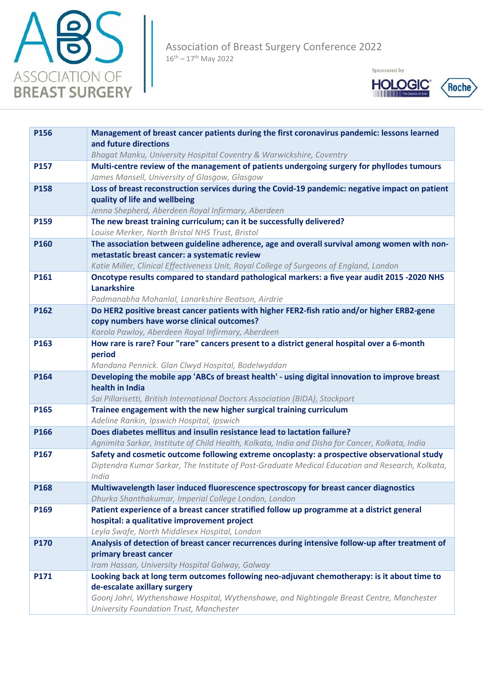





| Management of breast cancer patients during the first coronavirus pandemic: lessons learned                                                                       |
|-------------------------------------------------------------------------------------------------------------------------------------------------------------------|
| Bhagat Manku, University Hospital Coventry & Warwickshire, Coventry<br>Multi-centre review of the management of patients undergoing surgery for phyllodes tumours |
|                                                                                                                                                                   |
| Loss of breast reconstruction services during the Covid-19 pandemic: negative impact on patient                                                                   |
|                                                                                                                                                                   |
|                                                                                                                                                                   |
| The new breast training curriculum; can it be successfully delivered?                                                                                             |
|                                                                                                                                                                   |
| The association between guideline adherence, age and overall survival among women with non-                                                                       |
|                                                                                                                                                                   |
| Katie Miller, Clinical Effectiveness Unit, Royal College of Surgeons of England, London                                                                           |
| Oncotype results compared to standard pathological markers: a five year audit 2015 -2020 NHS                                                                      |
|                                                                                                                                                                   |
|                                                                                                                                                                   |
| Do HER2 positive breast cancer patients with higher FER2-fish ratio and/or higher ERB2-gene                                                                       |
|                                                                                                                                                                   |
|                                                                                                                                                                   |
| How rare is rare? Four "rare" cancers present to a district general hospital over a 6-month                                                                       |
|                                                                                                                                                                   |
| Developing the mobile app 'ABCs of breast health' - using digital innovation to improve breast                                                                    |
|                                                                                                                                                                   |
| Sai Pillarisetti, British International Doctors Association (BIDA), Stockport                                                                                     |
| Trainee engagement with the new higher surgical training curriculum                                                                                               |
|                                                                                                                                                                   |
| Does diabetes mellitus and insulin resistance lead to lactation failure?                                                                                          |
| Agnimita Sarkar, Institute of Child Health, Kolkata, India and Disha for Cancer, Kolkata, India                                                                   |
| Safety and cosmetic outcome following extreme oncoplasty: a prospective observational study                                                                       |
| Diptendra Kumar Sarkar, The Institute of Post-Graduate Medical Education and Research, Kolkata,                                                                   |
|                                                                                                                                                                   |
| Multiwavelength laser induced fluorescence spectroscopy for breast cancer diagnostics                                                                             |
| Dhurka Shanthakumar, Imperial College London, London                                                                                                              |
| Patient experience of a breast cancer stratified follow up programme at a district general                                                                        |
|                                                                                                                                                                   |
|                                                                                                                                                                   |
| Analysis of detection of breast cancer recurrences during intensive follow-up after treatment of                                                                  |
|                                                                                                                                                                   |
| Looking back at long term outcomes following neo-adjuvant chemotherapy: is it about time to                                                                       |
|                                                                                                                                                                   |
| Goonj Johri, Wythenshawe Hospital, Wythenshawe, and Nightingale Breast Centre, Manchester                                                                         |
|                                                                                                                                                                   |
|                                                                                                                                                                   |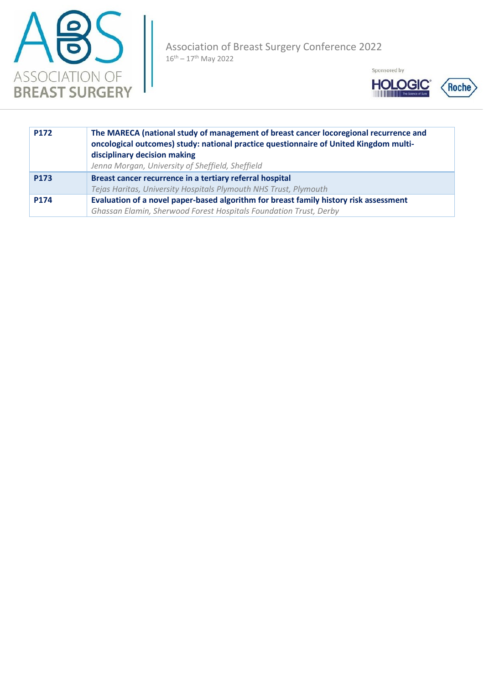





| P172 | The MARECA (national study of management of breast cancer locoregional recurrence and<br>oncological outcomes) study: national practice questionnaire of United Kingdom multi-<br>disciplinary decision making<br>Jenna Morgan, University of Sheffield, Sheffield |
|------|--------------------------------------------------------------------------------------------------------------------------------------------------------------------------------------------------------------------------------------------------------------------|
| P173 | Breast cancer recurrence in a tertiary referral hospital                                                                                                                                                                                                           |
|      | Tejas Haritas, University Hospitals Plymouth NHS Trust, Plymouth                                                                                                                                                                                                   |
| P174 | Evaluation of a novel paper-based algorithm for breast family history risk assessment                                                                                                                                                                              |
|      | Ghassan Elamin, Sherwood Forest Hospitals Foundation Trust, Derby                                                                                                                                                                                                  |